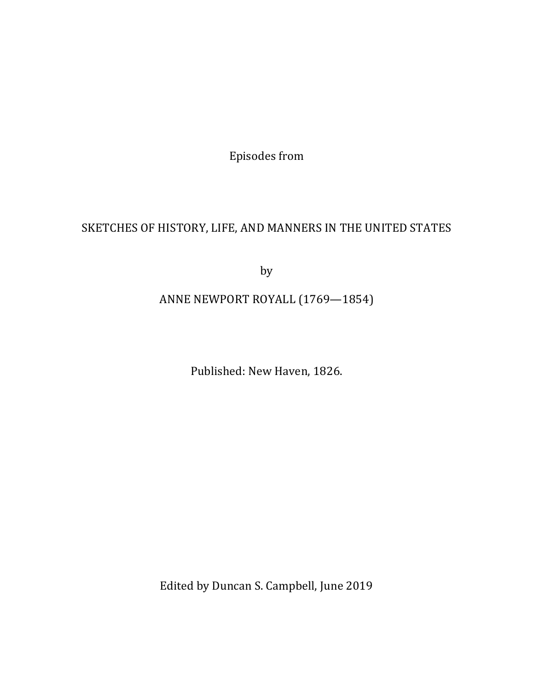Episodes from

## SKETCHES OF HISTORY, LIFE, AND MANNERS IN THE UNITED STATES

by

## ANNE NEWPORT ROYALL (1769-1854)

Published: New Haven, 1826.

Edited by Duncan S. Campbell, June 2019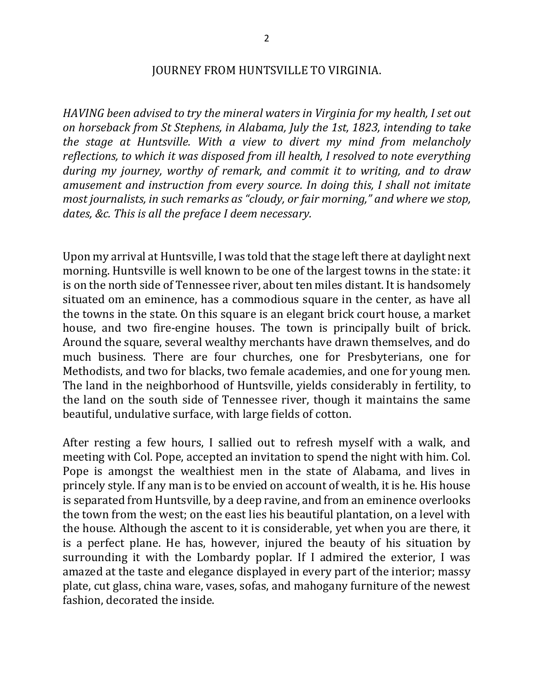## JOURNEY FROM HUNTSVILLE TO VIRGINIA.

*HAVING* been advised to try the mineral waters in Virginia for my health, I set out *on horseback from St Stephens, in Alabama, July the 1st, 1823, intending to take the stage at Huntsville. With a view to divert my mind from melancholy reflections, to which it was disposed from ill health, I resolved to note everything during my journey, worthy of remark, and commit it to writing, and to draw amusement and instruction from every source. In doing this, I shall not imitate most journalists, in such remarks as "cloudy, or fair morning," and where we stop,* dates, &c. This is all the preface I deem necessary.

Upon my arrival at Huntsville, I was told that the stage left there at daylight next morning. Huntsville is well known to be one of the largest towns in the state: it is on the north side of Tennessee river, about ten miles distant. It is handsomely situated om an eminence, has a commodious square in the center, as have all the towns in the state. On this square is an elegant brick court house, a market house, and two fire-engine houses. The town is principally built of brick. Around the square, several wealthy merchants have drawn themselves, and do much business. There are four churches, one for Presbyterians, one for Methodists, and two for blacks, two female academies, and one for young men. The land in the neighborhood of Huntsville, yields considerably in fertility, to the land on the south side of Tennessee river, though it maintains the same beautiful, undulative surface, with large fields of cotton.

After resting a few hours, I sallied out to refresh myself with a walk, and meeting with Col. Pope, accepted an invitation to spend the night with him. Col. Pope is amongst the wealthiest men in the state of Alabama, and lives in princely style. If any man is to be envied on account of wealth, it is he. His house is separated from Huntsville, by a deep ravine, and from an eminence overlooks the town from the west; on the east lies his beautiful plantation, on a level with the house. Although the ascent to it is considerable, yet when you are there, it is a perfect plane. He has, however, injured the beauty of his situation by surrounding it with the Lombardy poplar. If I admired the exterior, I was amazed at the taste and elegance displayed in every part of the interior; massy plate, cut glass, china ware, vases, sofas, and mahogany furniture of the newest fashion, decorated the inside.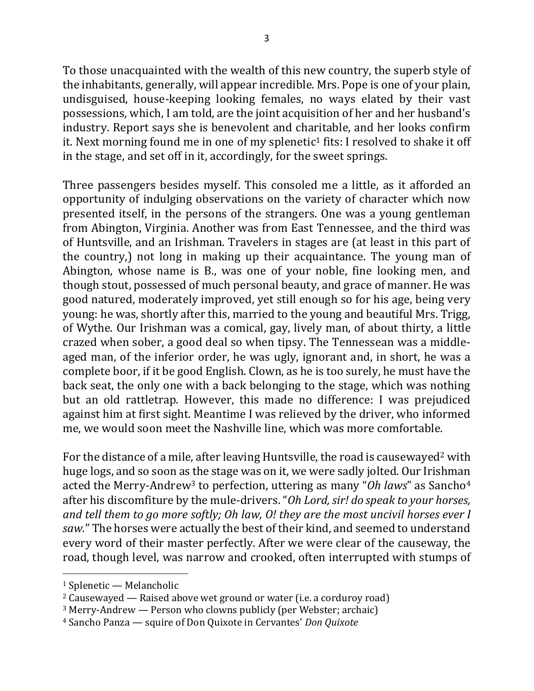To those unacquainted with the wealth of this new country, the superb style of the inhabitants, generally, will appear incredible. Mrs. Pope is one of your plain, undisguised, house-keeping looking females, no ways elated by their vast possessions, which, I am told, are the joint acquisition of her and her husband's industry. Report says she is benevolent and charitable, and her looks confirm it. Next morning found me in one of my splenetic<sup>1</sup> fits: I resolved to shake it off in the stage, and set off in it, accordingly, for the sweet springs.

Three passengers besides myself. This consoled me a little, as it afforded an opportunity of indulging observations on the variety of character which now presented itself, in the persons of the strangers. One was a young gentleman from Abington, Virginia. Another was from East Tennessee, and the third was of Huntsville, and an Irishman. Travelers in stages are (at least in this part of the country,) not long in making up their acquaintance. The young man of Abington, whose name is B., was one of your noble, fine looking men, and though stout, possessed of much personal beauty, and grace of manner. He was good natured, moderately improved, yet still enough so for his age, being very young: he was, shortly after this, married to the young and beautiful Mrs. Trigg, of Wythe. Our Irishman was a comical, gay, lively man, of about thirty, a little crazed when sober, a good deal so when tipsy. The Tennessean was a middleaged man, of the inferior order, he was ugly, ignorant and, in short, he was a complete boor, if it be good English. Clown, as he is too surely, he must have the back seat, the only one with a back belonging to the stage, which was nothing but an old rattletrap. However, this made no difference: I was prejudiced against him at first sight. Meantime I was relieved by the driver, who informed me, we would soon meet the Nashville line, which was more comfortable.

For the distance of a mile, after leaving Huntsville, the road is causewayed<sup>2</sup> with huge logs, and so soon as the stage was on it, we were sadly jolted. Our Irishman acted the Merry-Andrew<sup>3</sup> to perfection, uttering as many "*Oh laws*" as Sancho<sup>4</sup> after his discomfiture by the mule-drivers. "Oh Lord, sir! do speak to your horses, and tell them to go more softly; Oh law, O! they are the most uncivil horses ever I *saw.*" The horses were actually the best of their kind, and seemed to understand every word of their master perfectly. After we were clear of the causeway, the road, though level, was narrow and crooked, often interrupted with stumps of

 $\overline{a}$ 

 $1$  Splenetic — Melancholic

<sup>&</sup>lt;sup>2</sup> Causewayed — Raised above wet ground or water (i.e. a corduroy road)

 $3$  Merry-Andrew — Person who clowns publicly (per Webster; archaic)

<sup>&</sup>lt;sup>4</sup> Sancho Panza — squire of Don Quixote in Cervantes' *Don Quixote*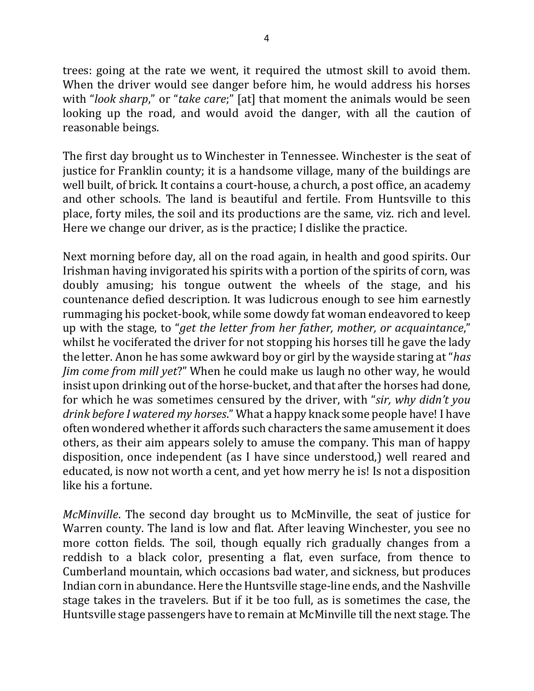trees: going at the rate we went, it required the utmost skill to avoid them. When the driver would see danger before him, he would address his horses with "*look sharp*," or "*take care*;" [at] that moment the animals would be seen looking up the road, and would avoid the danger, with all the caution of reasonable beings.

The first day brought us to Winchester in Tennessee. Winchester is the seat of justice for Franklin county; it is a handsome village, many of the buildings are well built, of brick. It contains a court-house, a church, a post office, an academy and other schools. The land is beautiful and fertile. From Huntsville to this place, forty miles, the soil and its productions are the same, viz. rich and level. Here we change our driver, as is the practice; I dislike the practice.

Next morning before day, all on the road again, in health and good spirits. Our Irishman having invigorated his spirits with a portion of the spirits of corn, was doubly amusing; his tongue outwent the wheels of the stage, and his countenance defied description. It was ludicrous enough to see him earnestly rummaging his pocket-book, while some dowdy fat woman endeavored to keep up with the stage, to "*get the letter from her father, mother, or acquaintance*," whilst he vociferated the driver for not stopping his horses till he gave the lady the letter. Anon he has some awkward boy or girl by the wayside staring at "*has Jim come from mill yet?"* When he could make us laugh no other way, he would insist upon drinking out of the horse-bucket, and that after the horses had done, for which he was sometimes censured by the driver, with "sir, why didn't you *drink before I watered my horses.*" What a happy knack some people have! I have often wondered whether it affords such characters the same amusement it does others, as their aim appears solely to amuse the company. This man of happy disposition, once independent (as I have since understood,) well reared and educated, is now not worth a cent, and yet how merry he is! Is not a disposition like his a fortune.

*McMinville*. The second day brought us to McMinville, the seat of justice for Warren county. The land is low and flat. After leaving Winchester, you see no more cotton fields. The soil, though equally rich gradually changes from a reddish to a black color, presenting a flat, even surface, from thence to Cumberland mountain, which occasions bad water, and sickness, but produces Indian corn in abundance. Here the Huntsville stage-line ends, and the Nashville stage takes in the travelers. But if it be too full, as is sometimes the case, the Huntsville stage passengers have to remain at McMinville till the next stage. The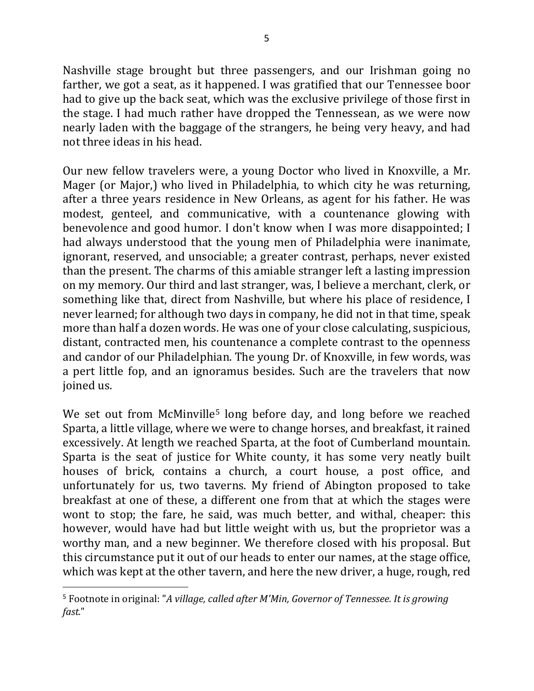Nashville stage brought but three passengers, and our Irishman going no farther, we got a seat, as it happened. I was gratified that our Tennessee boor had to give up the back seat, which was the exclusive privilege of those first in the stage. I had much rather have dropped the Tennessean, as we were now nearly laden with the baggage of the strangers, he being very heavy, and had not three ideas in his head.

Our new fellow travelers were, a young Doctor who lived in Knoxville, a Mr. Mager (or Major,) who lived in Philadelphia, to which city he was returning, after a three years residence in New Orleans, as agent for his father. He was modest, genteel, and communicative, with a countenance glowing with benevolence and good humor. I don't know when I was more disappointed; I had always understood that the young men of Philadelphia were inanimate, ignorant, reserved, and unsociable; a greater contrast, perhaps, never existed than the present. The charms of this amiable stranger left a lasting impression on my memory. Our third and last stranger, was, I believe a merchant, clerk, or something like that, direct from Nashville, but where his place of residence, I never learned; for although two days in company, he did not in that time, speak more than half a dozen words. He was one of your close calculating, suspicious, distant, contracted men, his countenance a complete contrast to the openness and candor of our Philadelphian. The young Dr. of Knoxville, in few words, was a pert little fop, and an ignoramus besides. Such are the travelers that now joined us.

We set out from McMinville<sup>5</sup> long before day, and long before we reached Sparta, a little village, where we were to change horses, and breakfast, it rained excessively. At length we reached Sparta, at the foot of Cumberland mountain. Sparta is the seat of justice for White county, it has some very neatly built houses of brick, contains a church, a court house, a post office, and unfortunately for us, two taverns. My friend of Abington proposed to take breakfast at one of these, a different one from that at which the stages were wont to stop; the fare, he said, was much better, and withal, cheaper: this however, would have had but little weight with us, but the proprietor was a worthy man, and a new beginner. We therefore closed with his proposal. But this circumstance put it out of our heads to enter our names, at the stage office, which was kept at the other tavern, and here the new driver, a huge, rough, red

<sup>&</sup>lt;sup>5</sup> Footnote in original: "A village, called after M'Min, Governor of Tennessee. It is growing *fast.*"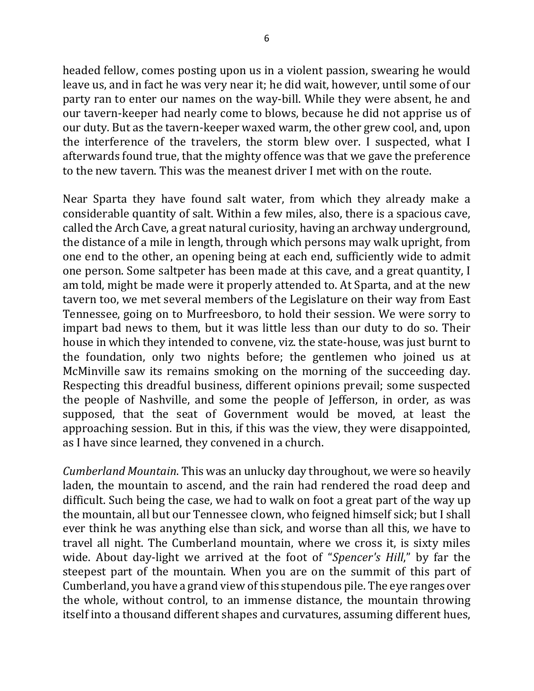headed fellow, comes posting upon us in a violent passion, swearing he would leave us, and in fact he was very near it; he did wait, however, until some of our party ran to enter our names on the way-bill. While they were absent, he and our tavern-keeper had nearly come to blows, because he did not apprise us of our duty. But as the tavern-keeper waxed warm, the other grew cool, and, upon the interference of the travelers, the storm blew over. I suspected, what I afterwards found true, that the mighty offence was that we gave the preference to the new tavern. This was the meanest driver I met with on the route.

Near Sparta they have found salt water, from which they already make a considerable quantity of salt. Within a few miles, also, there is a spacious cave, called the Arch Cave, a great natural curiosity, having an archway underground, the distance of a mile in length, through which persons may walk upright, from one end to the other, an opening being at each end, sufficiently wide to admit one person. Some saltpeter has been made at this cave, and a great quantity, I am told, might be made were it properly attended to. At Sparta, and at the new tavern too, we met several members of the Legislature on their way from East Tennessee, going on to Murfreesboro, to hold their session. We were sorry to impart bad news to them, but it was little less than our duty to do so. Their house in which they intended to convene, viz. the state-house, was just burnt to the foundation, only two nights before; the gentlemen who joined us at McMinville saw its remains smoking on the morning of the succeeding day. Respecting this dreadful business, different opinions prevail; some suspected the people of Nashville, and some the people of Jefferson, in order, as was supposed, that the seat of Government would be moved, at least the approaching session. But in this, if this was the view, they were disappointed, as I have since learned, they convened in a church.

*Cumberland Mountain*. This was an unlucky day throughout, we were so heavily laden, the mountain to ascend, and the rain had rendered the road deep and difficult. Such being the case, we had to walk on foot a great part of the way up the mountain, all but our Tennessee clown, who feigned himself sick; but I shall ever think he was anything else than sick, and worse than all this, we have to travel all night. The Cumberland mountain, where we cross it, is sixty miles wide. About day-light we arrived at the foot of "*Spencer's Hill*," by far the steepest part of the mountain. When you are on the summit of this part of Cumberland, you have a grand view of this stupendous pile. The eve ranges over the whole, without control, to an immense distance, the mountain throwing itself into a thousand different shapes and curvatures, assuming different hues,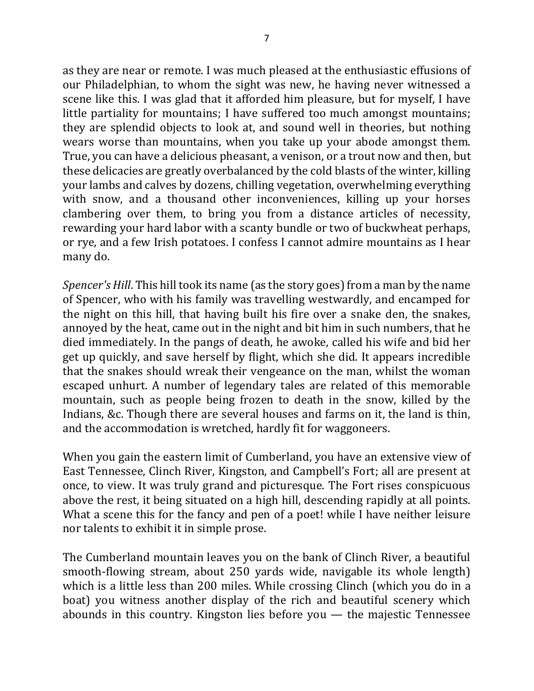as they are near or remote. I was much pleased at the enthusiastic effusions of our Philadelphian, to whom the sight was new, he having never witnessed a scene like this. I was glad that it afforded him pleasure, but for myself, I have little partiality for mountains; I have suffered too much amongst mountains; they are splendid objects to look at, and sound well in theories, but nothing wears worse than mountains, when you take up your abode amongst them. True, you can have a delicious pheasant, a venison, or a trout now and then, but these delicacies are greatly overbalanced by the cold blasts of the winter, killing your lambs and calves by dozens, chilling vegetation, overwhelming everything with snow, and a thousand other inconveniences, killing up your horses clambering over them, to bring you from a distance articles of necessity, rewarding your hard labor with a scanty bundle or two of buckwheat perhaps, or rye, and a few Irish potatoes. I confess I cannot admire mountains as I hear many do.

*Spencer's Hill*. This hill took its name (as the story goes) from a man by the name of Spencer, who with his family was travelling westwardly, and encamped for the night on this hill, that having built his fire over a snake den, the snakes, annoyed by the heat, came out in the night and bit him in such numbers, that he died immediately. In the pangs of death, he awoke, called his wife and bid her get up quickly, and save herself by flight, which she did. It appears incredible that the snakes should wreak their vengeance on the man, whilst the woman escaped unhurt. A number of legendary tales are related of this memorable mountain, such as people being frozen to death in the snow, killed by the Indians, &c. Though there are several houses and farms on it, the land is thin, and the accommodation is wretched, hardly fit for waggoneers.

When you gain the eastern limit of Cumberland, you have an extensive view of East Tennessee, Clinch River, Kingston, and Campbell's Fort; all are present at once, to view. It was truly grand and picturesque. The Fort rises conspicuous above the rest, it being situated on a high hill, descending rapidly at all points. What a scene this for the fancy and pen of a poet! while I have neither leisure nor talents to exhibit it in simple prose.

The Cumberland mountain leaves you on the bank of Clinch River, a beautiful smooth-flowing stream, about 250 yards wide, navigable its whole length) which is a little less than 200 miles. While crossing Clinch (which you do in a boat) you witness another display of the rich and beautiful scenery which abounds in this country. Kingston lies before you  $-$  the majestic Tennessee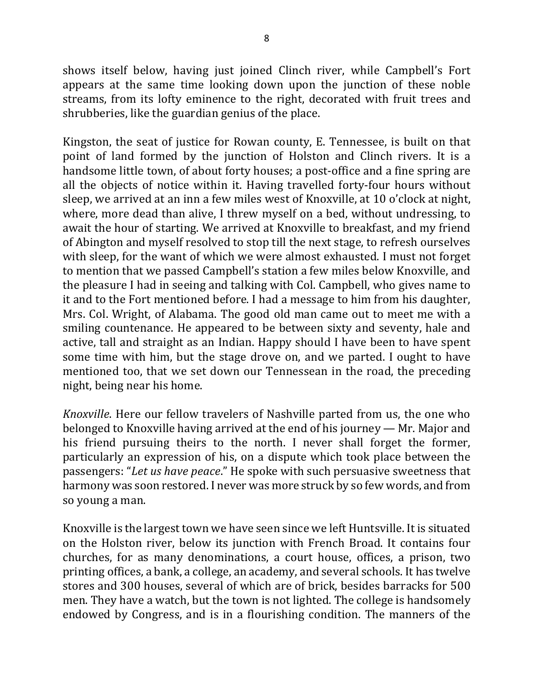shows itself below, having just joined Clinch river, while Campbell's Fort appears at the same time looking down upon the junction of these noble streams, from its lofty eminence to the right, decorated with fruit trees and shrubberies, like the guardian genius of the place.

Kingston, the seat of justice for Rowan county, E. Tennessee, is built on that point of land formed by the junction of Holston and Clinch rivers. It is a handsome little town, of about forty houses; a post-office and a fine spring are all the objects of notice within it. Having travelled forty-four hours without sleep, we arrived at an inn a few miles west of Knoxville, at 10 o'clock at night, where, more dead than alive, I threw myself on a bed, without undressing, to await the hour of starting. We arrived at Knoxville to breakfast, and my friend of Abington and myself resolved to stop till the next stage, to refresh ourselves with sleep, for the want of which we were almost exhausted. I must not forget to mention that we passed Campbell's station a few miles below Knoxville, and the pleasure I had in seeing and talking with Col. Campbell, who gives name to it and to the Fort mentioned before. I had a message to him from his daughter, Mrs. Col. Wright, of Alabama. The good old man came out to meet me with a smiling countenance. He appeared to be between sixty and seventy, hale and active, tall and straight as an Indian. Happy should I have been to have spent some time with him, but the stage drove on, and we parted. I ought to have mentioned too, that we set down our Tennessean in the road, the preceding night, being near his home.

*Knoxville*. Here our fellow travelers of Nashville parted from us, the one who belonged to Knoxville having arrived at the end of his journey  $-$  Mr. Major and his friend pursuing theirs to the north. I never shall forget the former, particularly an expression of his, on a dispute which took place between the passengers: "Let us have peace." He spoke with such persuasive sweetness that harmony was soon restored. I never was more struck by so few words, and from so young a man.

Knoxville is the largest town we have seen since we left Huntsville. It is situated on the Holston river, below its junction with French Broad. It contains four churches, for as many denominations, a court house, offices, a prison, two printing offices, a bank, a college, an academy, and several schools. It has twelve stores and 300 houses, several of which are of brick, besides barracks for 500 men. They have a watch, but the town is not lighted. The college is handsomely endowed by Congress, and is in a flourishing condition. The manners of the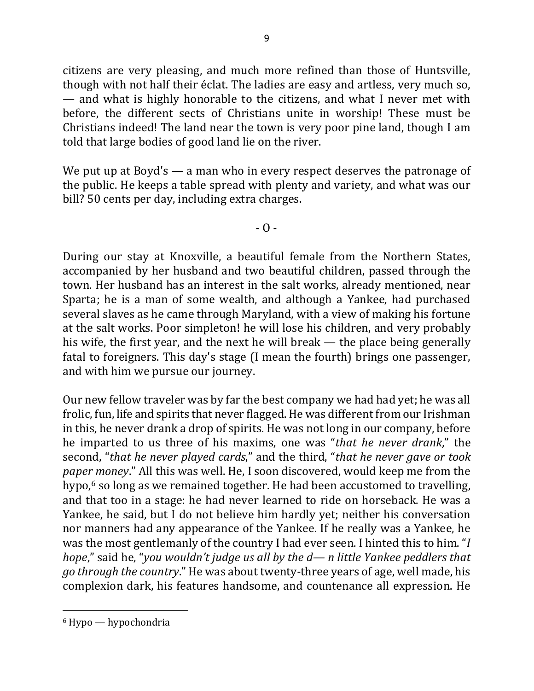citizens are very pleasing, and much more refined than those of Huntsville, though with not half their éclat. The ladies are easy and artless, very much so, — and what is highly honorable to the citizens, and what I never met with before, the different sects of Christians unite in worship! These must be Christians indeed! The land near the town is very poor pine land, though I am told that large bodies of good land lie on the river.

We put up at Boyd's  $-$  a man who in every respect deserves the patronage of the public. He keeps a table spread with plenty and variety, and what was our bill? 50 cents per day, including extra charges.

 $-$  O  $-$ 

During our stay at Knoxville, a beautiful female from the Northern States, accompanied by her husband and two beautiful children, passed through the town. Her husband has an interest in the salt works, already mentioned, near Sparta; he is a man of some wealth, and although a Yankee, had purchased several slaves as he came through Maryland, with a view of making his fortune at the salt works. Poor simpleton! he will lose his children, and very probably his wife, the first year, and the next he will break — the place being generally fatal to foreigners. This day's stage (I mean the fourth) brings one passenger, and with him we pursue our journey.

Our new fellow traveler was by far the best company we had had yet; he was all frolic, fun, life and spirits that never flagged. He was different from our Irishman in this, he never drank a drop of spirits. He was not long in our company, before he imparted to us three of his maxims, one was "*that he never drank*," the second, "that he never played cards," and the third, "that he never gave or took *paper money*." All this was well. He, I soon discovered, would keep me from the hypo,<sup>6</sup> so long as we remained together. He had been accustomed to travelling, and that too in a stage: he had never learned to ride on horseback. He was a Yankee, he said, but I do not believe him hardly yet; neither his conversation nor manners had any appearance of the Yankee. If he really was a Yankee, he was the most gentlemanly of the country I had ever seen. I hinted this to him. "*I hope,*" said he, "you wouldn't judge us all by the d— n little Yankee peddlers that *go through the country*." He was about twenty-three years of age, well made, his complexion dark, his features handsome, and countenance all expression. He

 $\overline{a}$ 

 $6$  Hypo — hypochondria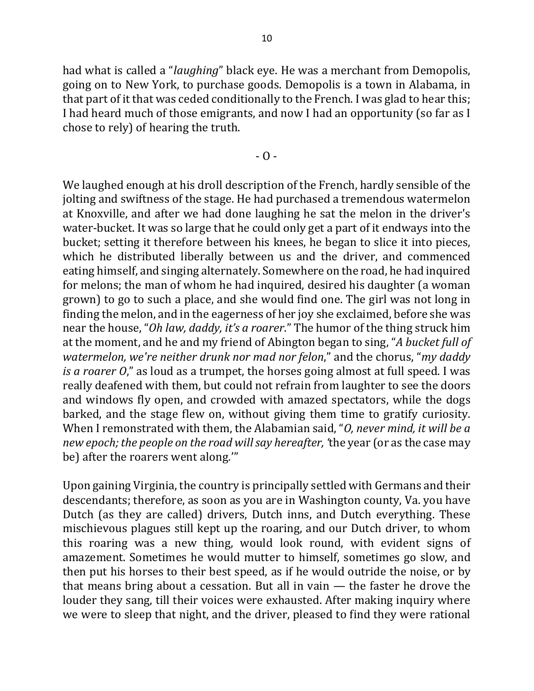had what is called a "*laughing*" black eye. He was a merchant from Demopolis, going on to New York, to purchase goods. Demopolis is a town in Alabama, in that part of it that was ceded conditionally to the French. I was glad to hear this; I had heard much of those emigrants, and now I had an opportunity (so far as I chose to rely) of hearing the truth.

 $-$  O  $-$ 

We laughed enough at his droll description of the French, hardly sensible of the jolting and swiftness of the stage. He had purchased a tremendous watermelon at Knoxville, and after we had done laughing he sat the melon in the driver's water-bucket. It was so large that he could only get a part of it endways into the bucket; setting it therefore between his knees, he began to slice it into pieces, which he distributed liberally between us and the driver, and commenced eating himself, and singing alternately. Somewhere on the road, he had inquired for melons; the man of whom he had inquired, desired his daughter (a woman grown) to go to such a place, and she would find one. The girl was not long in finding the melon, and in the eagerness of her joy she exclaimed, before she was near the house, "*Oh law, daddy, it's a roarer*." The humor of the thing struck him at the moment, and he and my friend of Abington began to sing, "A bucket full of *watermelon, we're neither drunk nor mad nor felon,"* and the chorus, "*my daddy is a roarer O*," as loud as a trumpet, the horses going almost at full speed. I was really deafened with them, but could not refrain from laughter to see the doors and windows fly open, and crowded with amazed spectators, while the dogs barked, and the stage flew on, without giving them time to gratify curiosity. When I remonstrated with them, the Alabamian said, "*O, never mind, it will be a new epoch;* the people on the road will say hereafter, 'the year (or as the case may be) after the roarers went along."

Upon gaining Virginia, the country is principally settled with Germans and their descendants; therefore, as soon as you are in Washington county, Va. you have Dutch (as they are called) drivers, Dutch inns, and Dutch everything. These mischievous plagues still kept up the roaring, and our Dutch driver, to whom this roaring was a new thing, would look round, with evident signs of amazement. Sometimes he would mutter to himself, sometimes go slow, and then put his horses to their best speed, as if he would outride the noise, or by that means bring about a cessation. But all in vain  $-$  the faster he drove the louder they sang, till their voices were exhausted. After making inquiry where we were to sleep that night, and the driver, pleased to find they were rational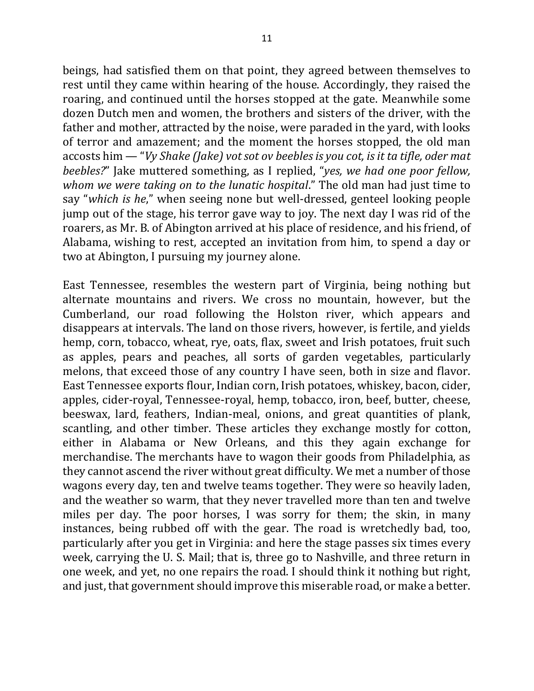beings, had satisfied them on that point, they agreed between themselves to rest until they came within hearing of the house. Accordingly, they raised the roaring, and continued until the horses stopped at the gate. Meanwhile some dozen Dutch men and women, the brothers and sisters of the driver, with the father and mother, attracted by the noise, were paraded in the vard, with looks of terror and amazement; and the moment the horses stopped, the old man accosts him — "*Vy Shake (Jake) vot sot ov beebles is you cot, is it ta tifle, oder mat beebles?*" Jake muttered something, as I replied, "*yes, we had one poor fellow, whom* we were taking on to the lunatic hospital." The old man had just time to say "which is he," when seeing none but well-dressed, genteel looking people jump out of the stage, his terror gave way to joy. The next day I was rid of the roarers, as Mr. B. of Abington arrived at his place of residence, and his friend, of Alabama, wishing to rest, accepted an invitation from him, to spend a day or two at Abington, I pursuing my journey alone.

East Tennessee, resembles the western part of Virginia, being nothing but alternate mountains and rivers. We cross no mountain, however, but the Cumberland, our road following the Holston river, which appears and disappears at intervals. The land on those rivers, however, is fertile, and yields hemp, corn, tobacco, wheat, rye, oats, flax, sweet and Irish potatoes, fruit such as apples, pears and peaches, all sorts of garden vegetables, particularly melons, that exceed those of any country I have seen, both in size and flavor. East Tennessee exports flour, Indian corn, Irish potatoes, whiskey, bacon, cider, apples, cider-royal, Tennessee-royal, hemp, tobacco, iron, beef, butter, cheese, beeswax, lard, feathers, Indian-meal, onions, and great quantities of plank, scantling, and other timber. These articles they exchange mostly for cotton, either in Alabama or New Orleans, and this they again exchange for merchandise. The merchants have to wagon their goods from Philadelphia, as they cannot ascend the river without great difficulty. We met a number of those wagons every day, ten and twelve teams together. They were so heavily laden, and the weather so warm, that they never travelled more than ten and twelve miles per day. The poor horses, I was sorry for them; the skin, in many instances, being rubbed off with the gear. The road is wretchedly bad, too, particularly after you get in Virginia: and here the stage passes six times every week, carrying the U. S. Mail; that is, three go to Nashville, and three return in one week, and yet, no one repairs the road. I should think it nothing but right, and just, that government should improve this miserable road, or make a better.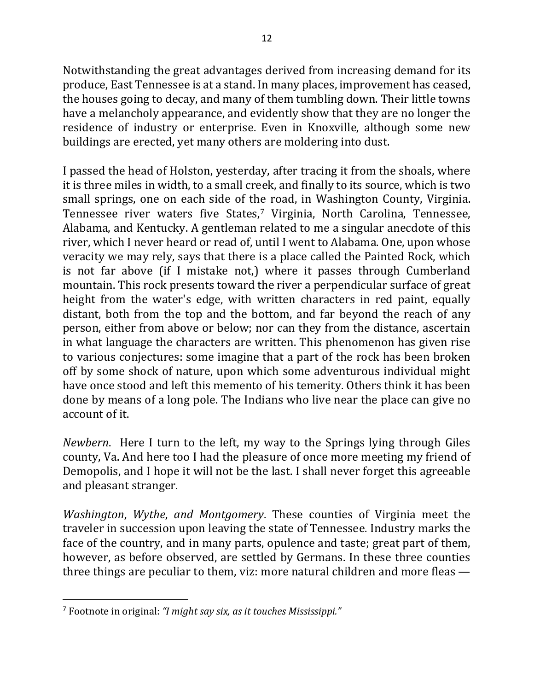Notwithstanding the great advantages derived from increasing demand for its produce, East Tennessee is at a stand. In many places, improvement has ceased, the houses going to decay, and many of them tumbling down. Their little towns have a melancholy appearance, and evidently show that they are no longer the residence of industry or enterprise. Even in Knoxville, although some new buildings are erected, yet many others are moldering into dust.

I passed the head of Holston, yesterday, after tracing it from the shoals, where it is three miles in width, to a small creek, and finally to its source, which is two small springs, one on each side of the road, in Washington County, Virginia. Tennessee river waters five States,<sup>7</sup> Virginia, North Carolina, Tennessee, Alabama, and Kentucky. A gentleman related to me a singular anecdote of this river, which I never heard or read of, until I went to Alabama. One, upon whose veracity we may rely, says that there is a place called the Painted Rock, which is not far above (if I mistake not,) where it passes through Cumberland mountain. This rock presents toward the river a perpendicular surface of great height from the water's edge, with written characters in red paint, equally distant, both from the top and the bottom, and far beyond the reach of any person, either from above or below; nor can they from the distance, ascertain in what language the characters are written. This phenomenon has given rise to various conjectures: some imagine that a part of the rock has been broken off by some shock of nature, upon which some adventurous individual might have once stood and left this memento of his temerity. Others think it has been done by means of a long pole. The Indians who live near the place can give no account of it.

*Newbern*. Here I turn to the left, my way to the Springs lying through Giles county, Va. And here too I had the pleasure of once more meeting my friend of Demopolis, and I hope it will not be the last. I shall never forget this agreeable and pleasant stranger.

*Washington*, *Wythe*, *and Montgomery*. These counties of Virginia meet the traveler in succession upon leaving the state of Tennessee. Industry marks the face of the country, and in many parts, opulence and taste; great part of them, however, as before observed, are settled by Germans. In these three counties three things are peculiar to them, viz: more natural children and more fleas  $-$ 

<sup>&</sup>lt;sup>7</sup> Footnote in original: *"I might say six, as it touches Mississippi."*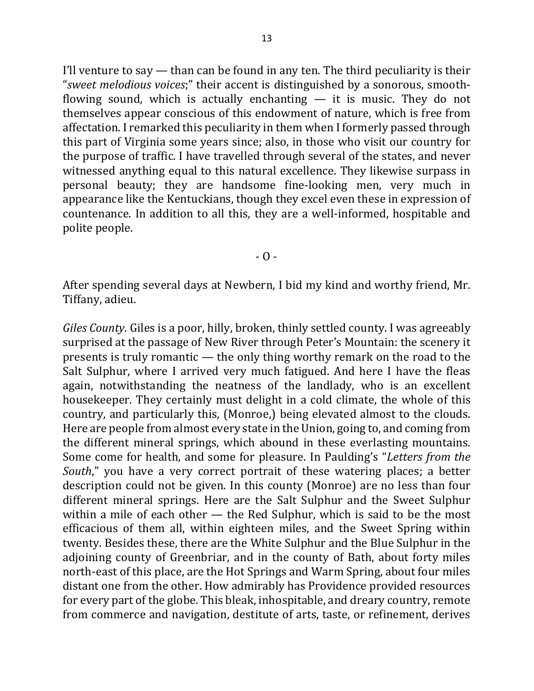I'll venture to say  $-$  than can be found in any ten. The third peculiarity is their "*sweet melodious voices*;" their accent is distinguished by a sonorous, smoothflowing sound, which is actually enchanting  $-$  it is music. They do not themselves appear conscious of this endowment of nature, which is free from affectation. I remarked this peculiarity in them when I formerly passed through this part of Virginia some years since; also, in those who visit our country for the purpose of traffic. I have travelled through several of the states, and never witnessed anything equal to this natural excellence. They likewise surpass in personal beauty; they are handsome fine-looking men, very much in appearance like the Kentuckians, though they excel even these in expression of countenance. In addition to all this, they are a well-informed, hospitable and polite people.

 $- 0 -$ 

After spending several days at Newbern, I bid my kind and worthy friend, Mr. Tiffany, adieu.

*Giles County*. Giles is a poor, hilly, broken, thinly settled county. I was agreeably surprised at the passage of New River through Peter's Mountain: the scenery it presents is truly romantic  $-$  the only thing worthy remark on the road to the Salt Sulphur, where I arrived very much fatigued. And here I have the fleas again, notwithstanding the neatness of the landlady, who is an excellent housekeeper. They certainly must delight in a cold climate, the whole of this country, and particularly this, (Monroe,) being elevated almost to the clouds. Here are people from almost every state in the Union, going to, and coming from the different mineral springs, which abound in these everlasting mountains. Some come for health, and some for pleasure. In Paulding's "Letters from the *South*," you have a very correct portrait of these watering places; a better description could not be given. In this county (Monroe) are no less than four different mineral springs. Here are the Salt Sulphur and the Sweet Sulphur within a mile of each other  $-$  the Red Sulphur, which is said to be the most efficacious of them all, within eighteen miles, and the Sweet Spring within twenty. Besides these, there are the White Sulphur and the Blue Sulphur in the adjoining county of Greenbriar, and in the county of Bath, about forty miles north-east of this place, are the Hot Springs and Warm Spring, about four miles distant one from the other. How admirably has Providence provided resources for every part of the globe. This bleak, inhospitable, and dreary country, remote from commerce and navigation, destitute of arts, taste, or refinement, derives